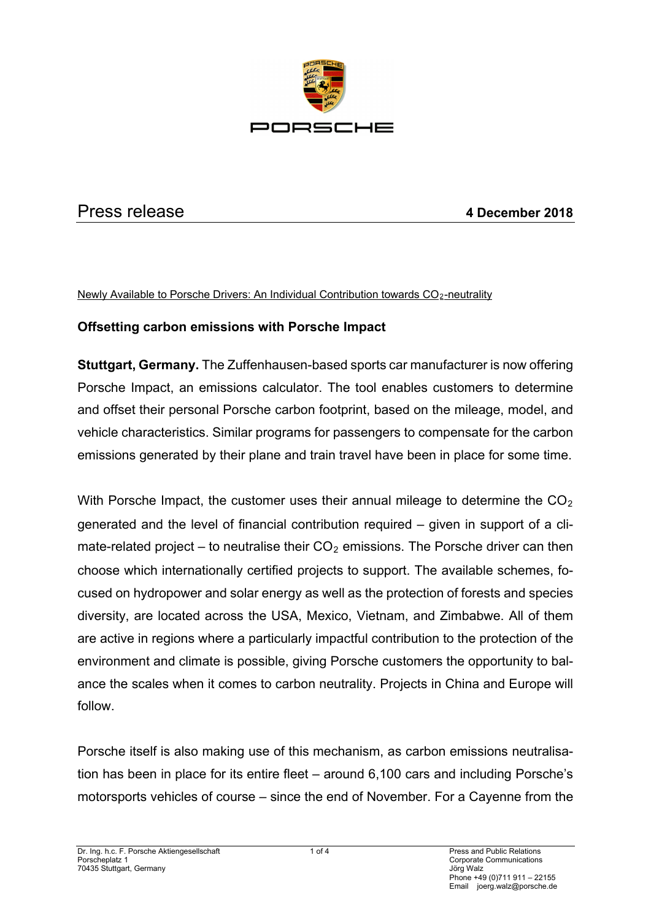

# Press release **4 December 2018**

Newly Available to Porsche Drivers: An Individual Contribution towards CO<sub>2</sub>-neutrality

### **Offsetting carbon emissions with Porsche Impact**

**Stuttgart, Germany.** The Zuffenhausen-based sports car manufacturer is now offering Porsche Impact, an emissions calculator. The tool enables customers to determine and offset their personal Porsche carbon footprint, based on the mileage, model, and vehicle characteristics. Similar programs for passengers to compensate for the carbon emissions generated by their plane and train travel have been in place for some time.

With Porsche Impact, the customer uses their annual mileage to determine the  $CO<sub>2</sub>$ generated and the level of financial contribution required – given in support of a climate-related project – to neutralise their  $CO<sub>2</sub>$  emissions. The Porsche driver can then choose which internationally certified projects to support. The available schemes, focused on hydropower and solar energy as well as the protection of forests and species diversity, are located across the USA, Mexico, Vietnam, and Zimbabwe. All of them are active in regions where a particularly impactful contribution to the protection of the environment and climate is possible, giving Porsche customers the opportunity to balance the scales when it comes to carbon neutrality. Projects in China and Europe will follow.

Porsche itself is also making use of this mechanism, as carbon emissions neutralisation has been in place for its entire fleet – around 6,100 cars and including Porsche's motorsports vehicles of course – since the end of November. For a Cayenne from the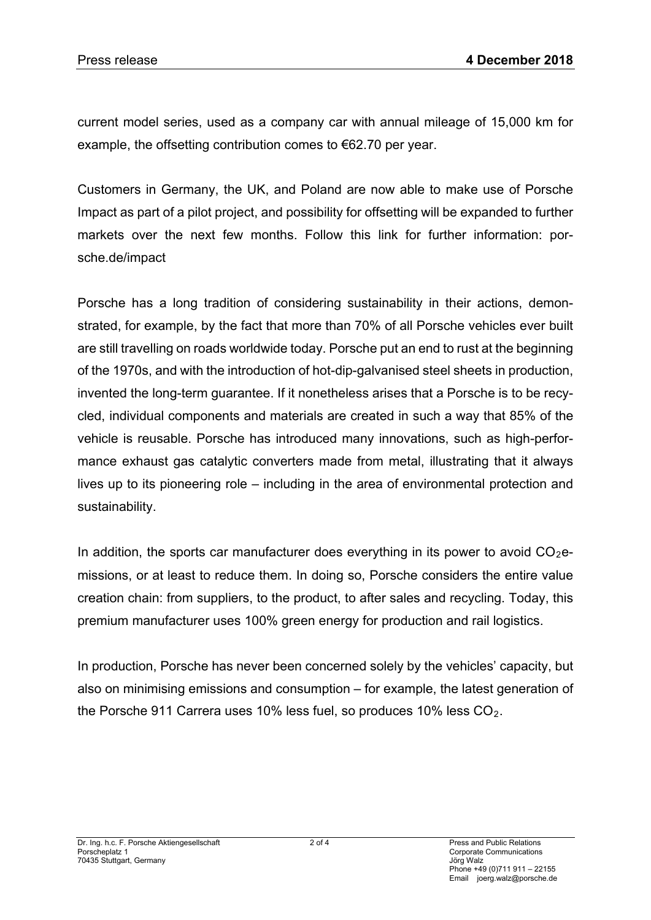current model series, used as a company car with annual mileage of 15,000 km for example, the offsetting contribution comes to €62.70 per year.

Customers in Germany, the UK, and Poland are now able to make use of Porsche Impact as part of a pilot project, and possibility for offsetting will be expanded to further markets over the next few months. Follow this link for further information: porsche.de/impact

Porsche has a long tradition of considering sustainability in their actions, demonstrated, for example, by the fact that more than 70% of all Porsche vehicles ever built are still travelling on roads worldwide today. Porsche put an end to rust at the beginning of the 1970s, and with the introduction of hot-dip-galvanised steel sheets in production, invented the long-term guarantee. If it nonetheless arises that a Porsche is to be recycled, individual components and materials are created in such a way that 85% of the vehicle is reusable. Porsche has introduced many innovations, such as high-performance exhaust gas catalytic converters made from metal, illustrating that it always lives up to its pioneering role – including in the area of environmental protection and sustainability.

In addition, the sports car manufacturer does everything in its power to avoid  $CO<sub>2</sub>e$ missions, or at least to reduce them. In doing so, Porsche considers the entire value creation chain: from suppliers, to the product, to after sales and recycling. Today, this premium manufacturer uses 100% green energy for production and rail logistics.

In production, Porsche has never been concerned solely by the vehicles' capacity, but also on minimising emissions and consumption – for example, the latest generation of the Porsche 911 Carrera uses 10% less fuel, so produces 10% less  $CO<sub>2</sub>$ .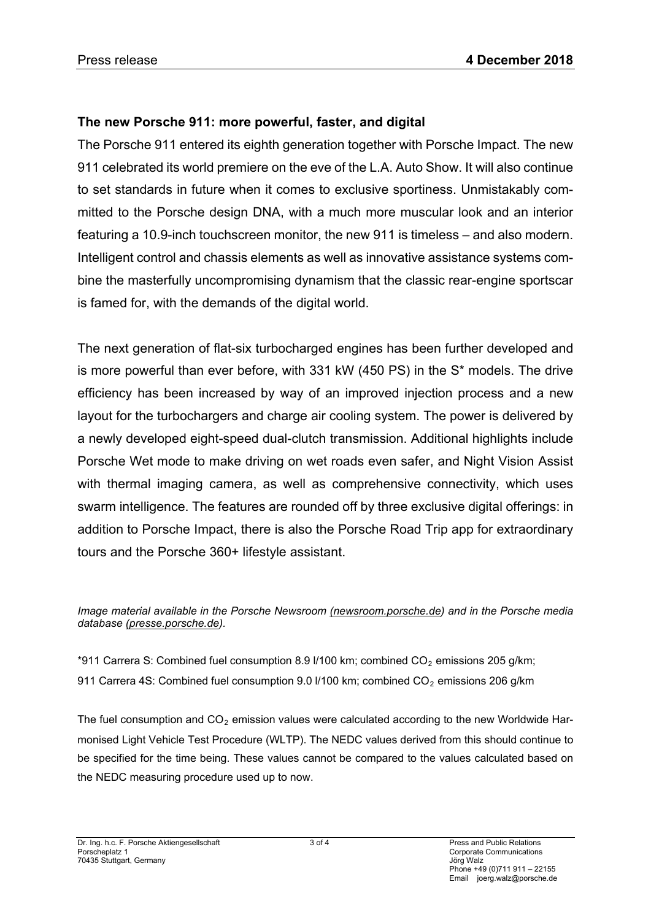## **The new Porsche 911: more powerful, faster, and digital**

The Porsche 911 entered its eighth generation together with Porsche Impact. The new 911 celebrated its world premiere on the eve of the L.A. Auto Show. It will also continue to set standards in future when it comes to exclusive sportiness. Unmistakably committed to the Porsche design DNA, with a much more muscular look and an interior featuring a 10.9-inch touchscreen monitor, the new 911 is timeless – and also modern. Intelligent control and chassis elements as well as innovative assistance systems combine the masterfully uncompromising dynamism that the classic rear-engine sportscar is famed for, with the demands of the digital world.

The next generation of flat-six turbocharged engines has been further developed and is more powerful than ever before, with 331 kW (450 PS) in the S\* models. The drive efficiency has been increased by way of an improved injection process and a new layout for the turbochargers and charge air cooling system. The power is delivered by a newly developed eight-speed dual-clutch transmission. Additional highlights include Porsche Wet mode to make driving on wet roads even safer, and Night Vision Assist with thermal imaging camera, as well as comprehensive connectivity, which uses swarm intelligence. The features are rounded off by three exclusive digital offerings: in addition to Porsche Impact, there is also the Porsche Road Trip app for extraordinary tours and the Porsche 360+ lifestyle assistant.

#### *Image material available in the Porsche Newsroom [\(newsroom.porsche.de\)](https://newsroom.porsche.com/de.html) and in the Porsche media database [\(presse.porsche.de\)](https://presse.porsche.de/).*

\*911 Carrera S: Combined fuel consumption 8.9 l/100 km; combined  $CO<sub>2</sub>$  emissions 205 g/km; 911 Carrera 4S: Combined fuel consumption 9.0  $\frac{1}{100}$  km; combined CO<sub>2</sub> emissions 206 g/km

The fuel consumption and  $CO<sub>2</sub>$  emission values were calculated according to the new Worldwide Harmonised Light Vehicle Test Procedure (WLTP). The NEDC values derived from this should continue to be specified for the time being. These values cannot be compared to the values calculated based on the NEDC measuring procedure used up to now.